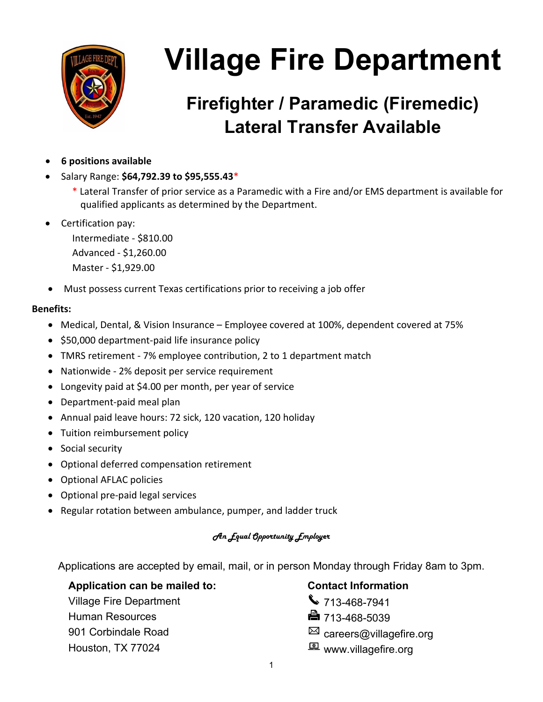

## **Firefighter / Paramedic (Firemedic) Lateral Transfer Available**

- **6 positions available**
- Salary Range: **\$64,792.39 to \$95,555.43**\*
	- \* Lateral Transfer of prior service as a Paramedic with a Fire and/or EMS department is available for qualified applicants as determined by the Department.
- Certification pay:

Intermediate - \$810.00 Advanced - \$1,260.00 Master - \$1,929.00

• Must possess current Texas certifications prior to receiving a job offer

#### **Benefits:**

- Medical, Dental, & Vision Insurance Employee covered at 100%, dependent covered at 75%
- \$50,000 department-paid life insurance policy
- TMRS retirement 7% employee contribution, 2 to 1 department match
- Nationwide 2% deposit per service requirement
- Longevity paid at \$4.00 per month, per year of service
- Department-paid meal plan
- Annual paid leave hours: 72 sick, 120 vacation, 120 holiday
- Tuition reimbursement policy
- Social security
- Optional deferred compensation retirement
- Optional AFLAC policies
- Optional pre-paid legal services
- Regular rotation between ambulance, pumper, and ladder truck

#### An Equal Opportunity Employer

Applications are accepted by email, mail, or in person Monday through Friday 8am to 3pm.

#### Application can be mailed to: **Contact Information**

Village Fire Department Village Fire Department Human Resources 713-468-5039

- 
- 
- 901 Corbindale Road careers@villagefire.org
- Houston, TX 77024 **Washington** www.villagefire.org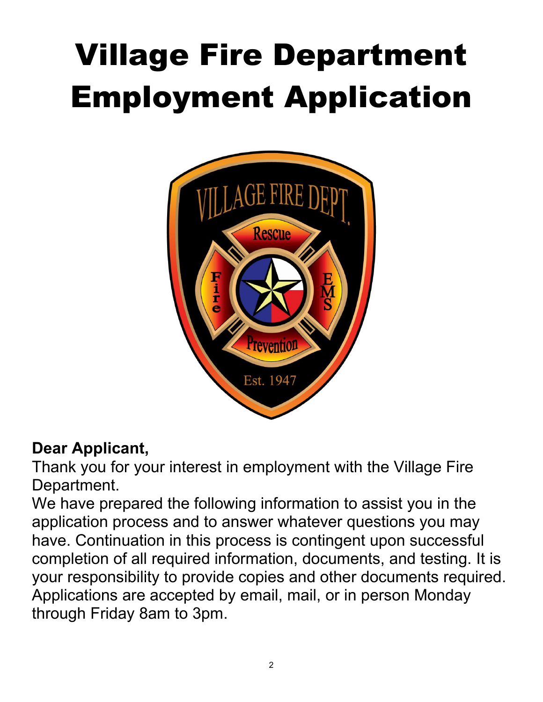# Village Fire Department Employment Application



### **Dear Applicant,**

Thank you for your interest in employment with the Village Fire Department.

We have prepared the following information to assist you in the application process and to answer whatever questions you may have. Continuation in this process is contingent upon successful completion of all required information, documents, and testing. It is your responsibility to provide copies and other documents required. Applications are accepted by email, mail, or in person Monday through Friday 8am to 3pm.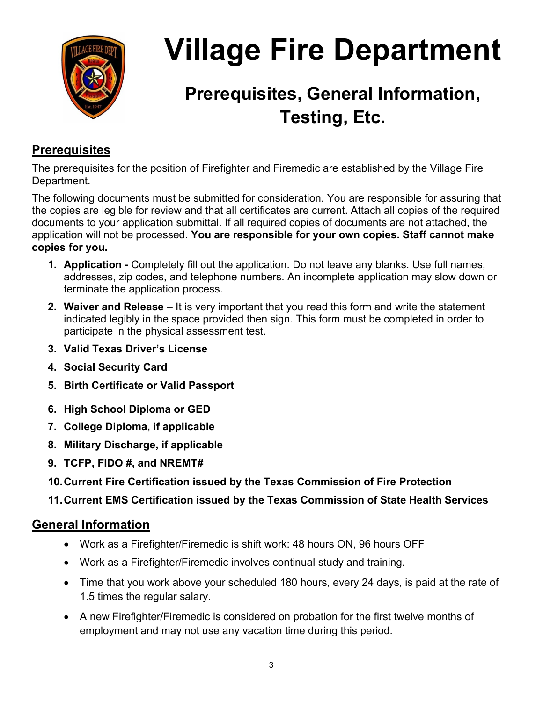

## **Prerequisites, General Information, Testing, Etc.**

### **Prerequisites**

The prerequisites for the position of Firefighter and Firemedic are established by the Village Fire Department.

The following documents must be submitted for consideration. You are responsible for assuring that the copies are legible for review and that all certificates are current. Attach all copies of the required documents to your application submittal. If all required copies of documents are not attached, the application will not be processed. **You are responsible for your own copies. Staff cannot make copies for you.**

- **1. Application** Completely fill out the application. Do not leave any blanks. Use full names, addresses, zip codes, and telephone numbers. An incomplete application may slow down or terminate the application process.
- **2. Waiver and Release** It is very important that you read this form and write the statement indicated legibly in the space provided then sign. This form must be completed in order to participate in the physical assessment test.
- **3. Valid Texas Driver's License**
- **4. Social Security Card**
- **5. Birth Certificate or Valid Passport**
- **6. High School Diploma or GED**
- **7. College Diploma, if applicable**
- **8. Military Discharge, if applicable**
- **9. TCFP, FIDO #, and NREMT#**
- **10.Current Fire Certification issued by the Texas Commission of Fire Protection**
- **11.Current EMS Certification issued by the Texas Commission of State Health Services**

### **General Information**

- Work as a Firefighter/Firemedic is shift work: 48 hours ON, 96 hours OFF
- Work as a Firefighter/Firemedic involves continual study and training.
- Time that you work above your scheduled 180 hours, every 24 days, is paid at the rate of 1.5 times the regular salary.
- A new Firefighter/Firemedic is considered on probation for the first twelve months of employment and may not use any vacation time during this period.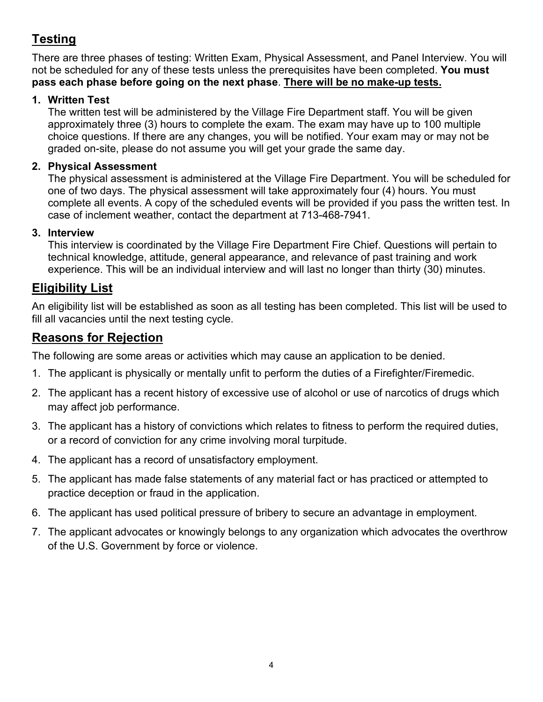### **Testing**

There are three phases of testing: Written Exam, Physical Assessment, and Panel Interview. You will not be scheduled for any of these tests unless the prerequisites have been completed. **You must pass each phase before going on the next phase**. **There will be no make-up tests.**

#### **1. Written Test**

The written test will be administered by the Village Fire Department staff. You will be given approximately three (3) hours to complete the exam. The exam may have up to 100 multiple choice questions. If there are any changes, you will be notified. Your exam may or may not be graded on-site, please do not assume you will get your grade the same day.

#### **2. Physical Assessment**

The physical assessment is administered at the Village Fire Department. You will be scheduled for one of two days. The physical assessment will take approximately four (4) hours. You must complete all events. A copy of the scheduled events will be provided if you pass the written test. In case of inclement weather, contact the department at 713-468-7941.

#### **3. Interview**

This interview is coordinated by the Village Fire Department Fire Chief. Questions will pertain to technical knowledge, attitude, general appearance, and relevance of past training and work experience. This will be an individual interview and will last no longer than thirty (30) minutes.

#### **Eligibility List**

An eligibility list will be established as soon as all testing has been completed. This list will be used to fill all vacancies until the next testing cycle.

#### **Reasons for Rejection**

The following are some areas or activities which may cause an application to be denied.

- 1. The applicant is physically or mentally unfit to perform the duties of a Firefighter/Firemedic.
- 2. The applicant has a recent history of excessive use of alcohol or use of narcotics of drugs which may affect job performance.
- 3. The applicant has a history of convictions which relates to fitness to perform the required duties, or a record of conviction for any crime involving moral turpitude.
- 4. The applicant has a record of unsatisfactory employment.
- 5. The applicant has made false statements of any material fact or has practiced or attempted to practice deception or fraud in the application.
- 6. The applicant has used political pressure of bribery to secure an advantage in employment.
- 7. The applicant advocates or knowingly belongs to any organization which advocates the overthrow of the U.S. Government by force or violence.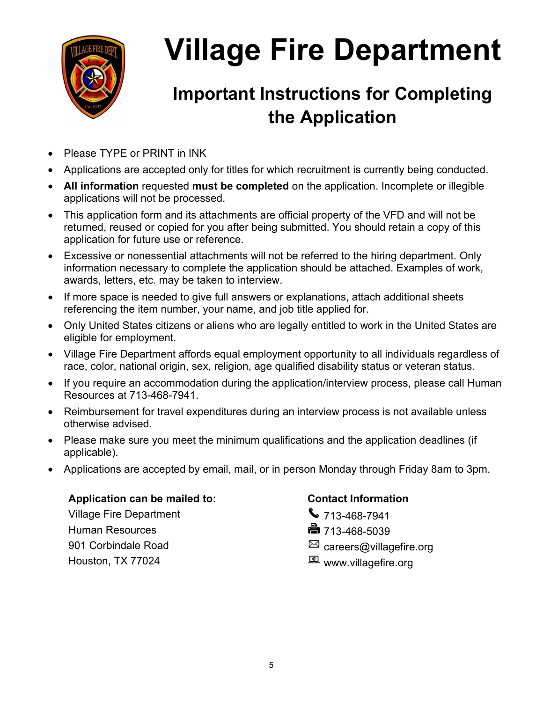

## **Important Instructions for Completing the Application**

- Please TYPE or PRINT in INK
- Applications are accepted only for titles for which recruitment is currently being conducted.
- **All information** requested **must be completed** on the application. Incomplete or illegible applications will not be processed.
- This application form and its attachments are official property of the VFD and will not be returned, reused or copied for you after being submitted. You should retain a copy of this application for future use or reference.
- Excessive or nonessential attachments will not be referred to the hiring department. Only information necessary to complete the application should be attached. Examples of work, awards, letters, etc. may be taken to interview.
- If more space is needed to give full answers or explanations, attach additional sheets referencing the item number, your name, and job title applied for.
- Only United States citizens or aliens who are legally entitled to work in the United States are eligible for employment.
- Village Fire Department affords equal employment opportunity to all individuals regardless of race, color, national origin, sex, religion, age qualified disability status or veteran status.
- If you require an accommodation during the application/interview process, please call Human Resources at 713-468-7941.
- Reimbursement for travel expenditures during an interview process is not available unless otherwise advised.
- Please make sure you meet the minimum qualifications and the application deadlines (if applicable).
- Applications are accepted by email, mail, or in person Monday through Friday 8am to 3pm.

#### Application can be mailed to: **Contact Information**

Village Fire Department **1120 120 13468-7941** Human Resources 713-468-5039 901 Corbindale Road careers@villagefire.org Houston, TX 77024 **E** www.villagefire.org

- 
-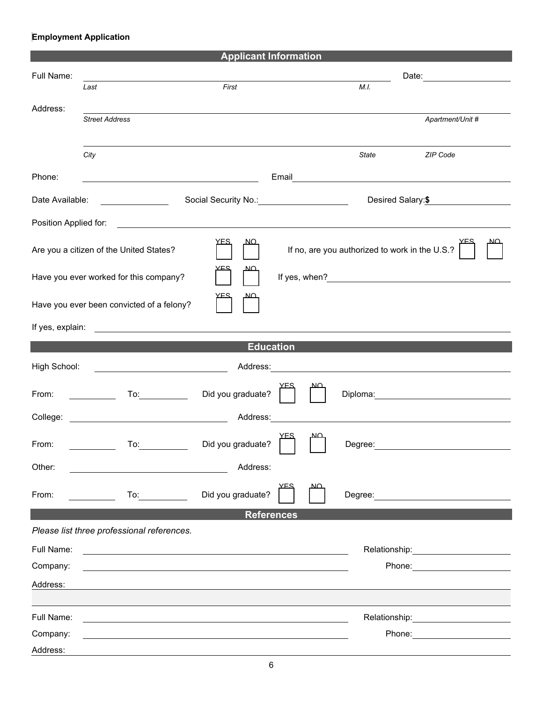#### **Employment Application**

| <b>Applicant Information</b>                                       |                                                                                                                       |                                                                |                                                |    |              |                                                                                                                                                                                                                                |  |  |  |
|--------------------------------------------------------------------|-----------------------------------------------------------------------------------------------------------------------|----------------------------------------------------------------|------------------------------------------------|----|--------------|--------------------------------------------------------------------------------------------------------------------------------------------------------------------------------------------------------------------------------|--|--|--|
| Full Name:                                                         |                                                                                                                       |                                                                |                                                |    |              | Date: ___________________                                                                                                                                                                                                      |  |  |  |
|                                                                    | Last                                                                                                                  | First                                                          |                                                |    | M.I.         |                                                                                                                                                                                                                                |  |  |  |
| Address:                                                           | <b>Street Address</b>                                                                                                 |                                                                |                                                |    |              | Apartment/Unit #                                                                                                                                                                                                               |  |  |  |
|                                                                    | City                                                                                                                  |                                                                |                                                |    | <b>State</b> | ZIP Code                                                                                                                                                                                                                       |  |  |  |
| Phone:                                                             | <u> 1989 - Johann Barn, mars ann an t-Amhain Aonaichte ann an t-Aonaichte ann an t-Aonaichte ann an t-Aonaichte a</u> |                                                                |                                                |    |              |                                                                                                                                                                                                                                |  |  |  |
| Date Available:                                                    | <u> The Common State (1999)</u>                                                                                       | Social Security No.: <u>Container and Social Security No.:</u> |                                                |    |              | Desired Salary:\$                                                                                                                                                                                                              |  |  |  |
| Position Applied for:                                              | <u> 1989 - Andrea Andrew Maria (h. 1989).</u><br>1905 - Andrew Maria (h. 1906).                                       |                                                                |                                                |    |              |                                                                                                                                                                                                                                |  |  |  |
| <u>YFS</u><br><u>NO</u><br>Are you a citizen of the United States? |                                                                                                                       |                                                                | If no, are you authorized to work in the U.S.? |    |              |                                                                                                                                                                                                                                |  |  |  |
| םם<br>Have you ever worked for this company?                       |                                                                                                                       |                                                                |                                                |    |              |                                                                                                                                                                                                                                |  |  |  |
|                                                                    | Have you ever been convicted of a felony?                                                                             |                                                                |                                                |    |              |                                                                                                                                                                                                                                |  |  |  |
| If yes, explain:                                                   | <u> 1989 - John Stein, Amerikaansk politiker (</u>                                                                    |                                                                |                                                |    |              |                                                                                                                                                                                                                                |  |  |  |
|                                                                    |                                                                                                                       | <b>Education</b>                                               |                                                |    |              |                                                                                                                                                                                                                                |  |  |  |
| High School:                                                       |                                                                                                                       |                                                                |                                                |    |              |                                                                                                                                                                                                                                |  |  |  |
| From:                                                              | To: and the state of the state of the state of the state of the state of the state of the state of the state o        | Did you graduate?                                              |                                                |    |              | Diploma: the contract of the contract of the contract of the contract of the contract of the contract of the contract of the contract of the contract of the contract of the contract of the contract of the contract of the c |  |  |  |
| College:                                                           | <u> 1989 - Johann Barn, mars ann an t-Amhair an t-Amhair an t-Amhair an t-Amhair an t-Amhair an t-Amhair an t-A</u>   | Address:                                                       |                                                |    |              |                                                                                                                                                                                                                                |  |  |  |
| From:                                                              | To:                                                                                                                   | Did you graduate?                                              |                                                |    | Degree:      |                                                                                                                                                                                                                                |  |  |  |
| Other:                                                             |                                                                                                                       | Address:                                                       |                                                |    |              |                                                                                                                                                                                                                                |  |  |  |
| From:                                                              |                                                                                                                       | Did you graduate?                                              | YES                                            | מא |              | Degree: the contract of the contract of the contract of the contract of the contract of the contract of the contract of the contract of the contract of the contract of the contract of the contract of the contract of the co |  |  |  |
|                                                                    |                                                                                                                       | <b>References</b>                                              |                                                |    |              |                                                                                                                                                                                                                                |  |  |  |
|                                                                    | Please list three professional references.                                                                            |                                                                |                                                |    |              |                                                                                                                                                                                                                                |  |  |  |
| Full Name:<br>Company:                                             |                                                                                                                       |                                                                |                                                |    |              | Phone: the contract of the contract of the contract of the contract of the contract of the contract of the contract of the contract of the contract of the contract of the contract of the contract of the contract of the con |  |  |  |
| Address:                                                           |                                                                                                                       |                                                                |                                                |    |              |                                                                                                                                                                                                                                |  |  |  |
|                                                                    |                                                                                                                       |                                                                |                                                |    |              |                                                                                                                                                                                                                                |  |  |  |
| Full Name:                                                         |                                                                                                                       |                                                                |                                                |    |              |                                                                                                                                                                                                                                |  |  |  |
| Company:                                                           |                                                                                                                       |                                                                |                                                |    |              | Phone: <u>_______________</u>                                                                                                                                                                                                  |  |  |  |
| Address:                                                           |                                                                                                                       |                                                                |                                                |    |              |                                                                                                                                                                                                                                |  |  |  |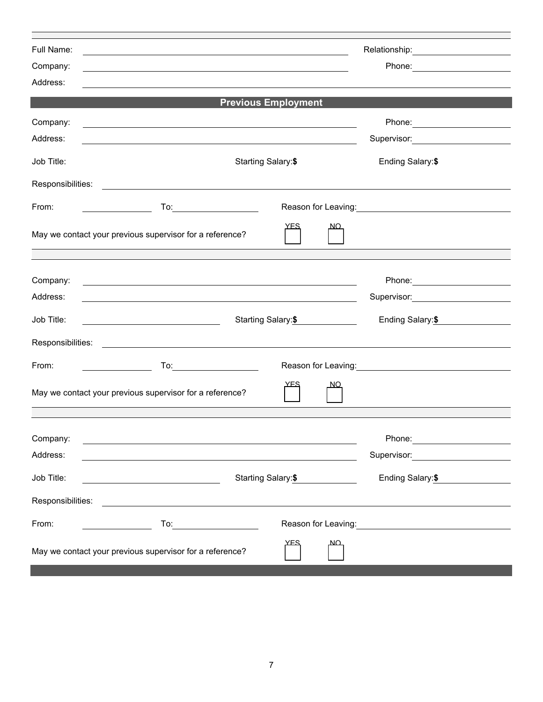| Full Name:        |                                                                                                                                                                                                                                                                                           | Relationship: 2000      |                                                                                                                                                                                                                                      |  |
|-------------------|-------------------------------------------------------------------------------------------------------------------------------------------------------------------------------------------------------------------------------------------------------------------------------------------|-------------------------|--------------------------------------------------------------------------------------------------------------------------------------------------------------------------------------------------------------------------------------|--|
| Company:          | <u> 1989 - Johann John Stone, meilich aus der Stone († 1989)</u>                                                                                                                                                                                                                          |                         |                                                                                                                                                                                                                                      |  |
| Address:          |                                                                                                                                                                                                                                                                                           |                         |                                                                                                                                                                                                                                      |  |
|                   | <b>Previous Employment</b>                                                                                                                                                                                                                                                                |                         |                                                                                                                                                                                                                                      |  |
| Company:          |                                                                                                                                                                                                                                                                                           |                         |                                                                                                                                                                                                                                      |  |
| Address:          |                                                                                                                                                                                                                                                                                           |                         | Supervisor: Victor Andrew Management Communication                                                                                                                                                                                   |  |
| Job Title:        |                                                                                                                                                                                                                                                                                           | Starting Salary:\$      |                                                                                                                                                                                                                                      |  |
| Responsibilities: | <u> 1989 - Andrea Stadt Britain, amerikansk politik (</u>                                                                                                                                                                                                                                 |                         |                                                                                                                                                                                                                                      |  |
| From:             |                                                                                                                                                                                                                                                                                           |                         | Reason for Leaving: Network of Contract Control Contract Control Control Control Control Control Control Contr                                                                                                                       |  |
|                   | May we contact your previous supervisor for a reference?<br>the control of the control of the control of the control of the control of the control of the control of the control of the control of the control of the control of the control of the control of the control of the control | <u>YFS</u><br><u>NO</u> |                                                                                                                                                                                                                                      |  |
|                   |                                                                                                                                                                                                                                                                                           |                         |                                                                                                                                                                                                                                      |  |
| Company:          |                                                                                                                                                                                                                                                                                           |                         |                                                                                                                                                                                                                                      |  |
| Address:          | <u> 1989 - Johann Stoff, deutscher Stoff, der Stoff, der Stoff, der Stoff, der Stoff, der Stoff, der Stoff, der S</u>                                                                                                                                                                     |                         | Supervisor: <b>Example 2019</b>                                                                                                                                                                                                      |  |
| Job Title:        |                                                                                                                                                                                                                                                                                           | Starting Salary: \$     |                                                                                                                                                                                                                                      |  |
|                   |                                                                                                                                                                                                                                                                                           |                         |                                                                                                                                                                                                                                      |  |
| From:             |                                                                                                                                                                                                                                                                                           |                         | Reason for Leaving: Management Control of Reason for Leaving:                                                                                                                                                                        |  |
|                   | May we contact your previous supervisor for a reference?                                                                                                                                                                                                                                  | <u>NO</u>               |                                                                                                                                                                                                                                      |  |
|                   |                                                                                                                                                                                                                                                                                           |                         |                                                                                                                                                                                                                                      |  |
| Company:          |                                                                                                                                                                                                                                                                                           |                         | Phone:                                                                                                                                                                                                                               |  |
| Address:          |                                                                                                                                                                                                                                                                                           |                         | Supervisor: <b>Example 2019</b>                                                                                                                                                                                                      |  |
| Job Title:        | Starting Salary:\$<br><u> 2000 - Andrea Andrew Maria (b. 1982)</u>                                                                                                                                                                                                                        | Ending Salary: \$       |                                                                                                                                                                                                                                      |  |
| Responsibilities: |                                                                                                                                                                                                                                                                                           |                         |                                                                                                                                                                                                                                      |  |
| From:             |                                                                                                                                                                                                                                                                                           |                         | Reason for Leaving: <u>contained and all property and all property and all property and all property and all property and all property and all property and all property and all property and all property and all property and </u> |  |
|                   | May we contact your previous supervisor for a reference?                                                                                                                                                                                                                                  | <u>YFS</u><br><u>ΝΩ</u> |                                                                                                                                                                                                                                      |  |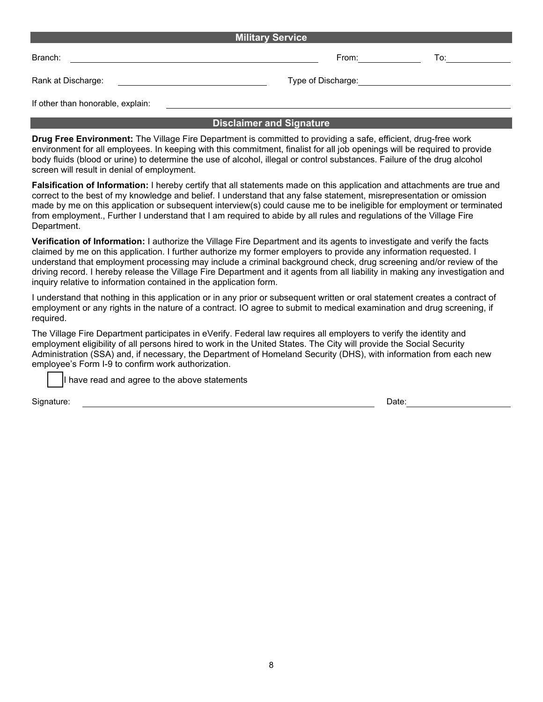| <b>Military Service</b>           |                    |     |  |  |  |  |  |
|-----------------------------------|--------------------|-----|--|--|--|--|--|
| Branch:                           | From:              | To: |  |  |  |  |  |
| Rank at Discharge:                | Type of Discharge: |     |  |  |  |  |  |
| If other than honorable, explain: |                    |     |  |  |  |  |  |

#### **Disclaimer and Signature**

**Drug Free Environment:** The Village Fire Department is committed to providing a safe, efficient, drug-free work environment for all employees. In keeping with this commitment, finalist for all job openings will be required to provide body fluids (blood or urine) to determine the use of alcohol, illegal or control substances. Failure of the drug alcohol screen will result in denial of employment.

**Falsification of Information:** I hereby certify that all statements made on this application and attachments are true and correct to the best of my knowledge and belief. I understand that any false statement, misrepresentation or omission made by me on this application or subsequent interview(s) could cause me to be ineligible for employment or terminated from employment., Further I understand that I am required to abide by all rules and regulations of the Village Fire Department.

**Verification of Information:** I authorize the Village Fire Department and its agents to investigate and verify the facts claimed by me on this application. I further authorize my former employers to provide any information requested. I understand that employment processing may include a criminal background check, drug screening and/or review of the driving record. I hereby release the Village Fire Department and it agents from all liability in making any investigation and inquiry relative to information contained in the application form.

I understand that nothing in this application or in any prior or subsequent written or oral statement creates a contract of employment or any rights in the nature of a contract. IO agree to submit to medical examination and drug screening, if required.

The Village Fire Department participates in eVerify. Federal law requires all employers to verify the identity and employment eligibility of all persons hired to work in the United States. The City will provide the Social Security Administration (SSA) and, if necessary, the Department of Homeland Security (DHS), with information from each new employee's Form I-9 to confirm work authorization.

I have read and agree to the above statements

Signature: Date: